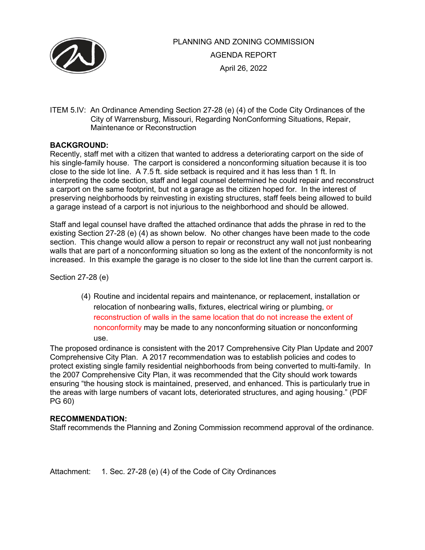

# PLANNING AND ZONING COMMISSION AGENDA REPORT April 26, 2022

ITEM 5.IV: An Ordinance Amending Section 27-28 (e) (4) of the Code City Ordinances of the City of Warrensburg, Missouri, Regarding NonConforming Situations, Repair, Maintenance or Reconstruction

## **BACKGROUND:**

Recently, staff met with a citizen that wanted to address a deteriorating carport on the side of his single-family house. The carport is considered a nonconforming situation because it is too close to the side lot line. A 7.5 ft. side setback is required and it has less than 1 ft. In interpreting the code section, staff and legal counsel determined he could repair and reconstruct a carport on the same footprint, but not a garage as the citizen hoped for. In the interest of preserving neighborhoods by reinvesting in existing structures, staff feels being allowed to build a garage instead of a carport is not injurious to the neighborhood and should be allowed.

Staff and legal counsel have drafted the attached ordinance that adds the phrase in red to the existing Section 27-28 (e) (4) as shown below. No other changes have been made to the code section. This change would allow a person to repair or reconstruct any wall not just nonbearing walls that are part of a nonconforming situation so long as the extent of the nonconformity is not increased. In this example the garage is no closer to the side lot line than the current carport is.

Section 27-28 (e)

(4) Routine and incidental repairs and maintenance, or replacement, installation or relocation of nonbearing walls, fixtures, electrical wiring or plumbing, or reconstruction of walls in the same location that do not increase the extent of nonconformity may be made to any nonconforming situation or nonconforming use.

The proposed ordinance is consistent with the 2017 Comprehensive City Plan Update and 2007 Comprehensive City Plan. A 2017 recommendation was to establish policies and codes to protect existing single family residential neighborhoods from being converted to multi-family. In the 2007 Comprehensive City Plan, it was recommended that the City should work towards ensuring "the housing stock is maintained, preserved, and enhanced. This is particularly true in the areas with large numbers of vacant lots, deteriorated structures, and aging housing." (PDF PG 60)

### **RECOMMENDATION:**

Staff recommends the Planning and Zoning Commission recommend approval of the ordinance.

Attachment: 1. Sec. 27-28 (e) (4) of the Code of City Ordinances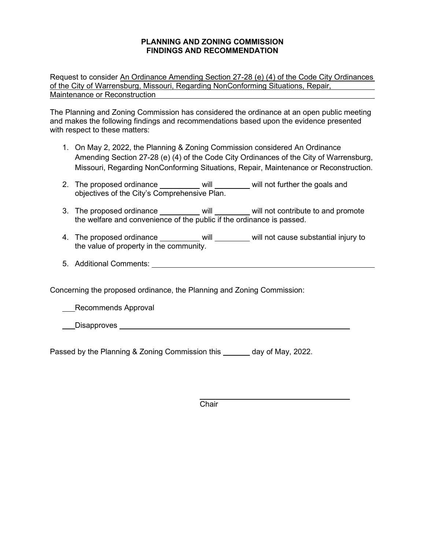### **PLANNING AND ZONING COMMISSION FINDINGS AND RECOMMENDATION**

Request to consider An Ordinance Amending Section 27-28 (e) (4) of the Code City Ordinances of the City of Warrensburg, Missouri, Regarding NonConforming Situations, Repair, Maintenance or Reconstruction

The Planning and Zoning Commission has considered the ordinance at an open public meeting and makes the following findings and recommendations based upon the evidence presented with respect to these matters:

- 1. On May 2, 2022, the Planning & Zoning Commission considered An Ordinance Amending Section 27-28 (e) (4) of the Code City Ordinances of the City of Warrensburg, Missouri, Regarding NonConforming Situations, Repair, Maintenance or Reconstruction.
- 2. The proposed ordinance \_\_\_\_\_\_\_\_\_\_ will \_\_\_\_\_\_\_\_ will not further the goals and objectives of the City's Comprehensive Plan.
- 3. The proposed ordinance will will will not contribute to and promote the welfare and convenience of the public if the ordinance is passed.
- 4. The proposed ordinance \_\_\_\_\_\_\_\_\_ will will will not cause substantial injury to the value of property in the community.
- 5. Additional Comments:

Concerning the proposed ordinance, the Planning and Zoning Commission:

Recommends Approval

Disapproves **Example 2018 Disapproves** 

Passed by the Planning & Zoning Commission this \_\_\_\_\_\_ day of May, 2022.

Chair